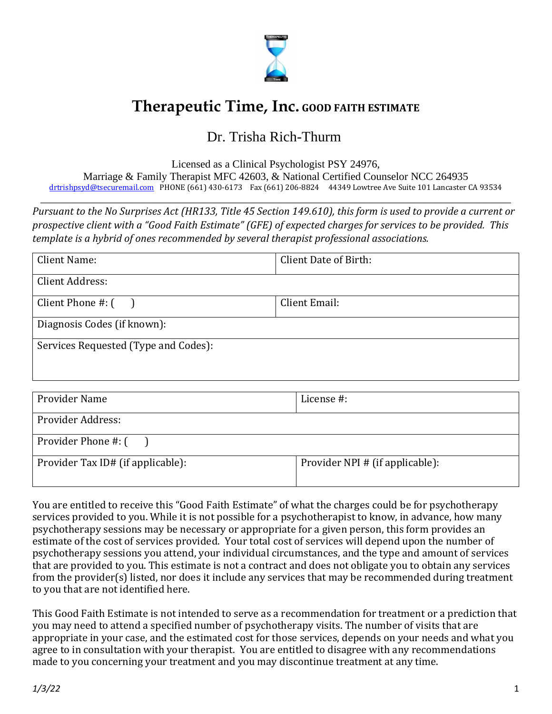

## **Therapeutic Time, Inc. GOOD FAITH ESTIMATE**

## Dr. Trisha Rich-Thurm

Licensed as a Clinical Psychologist PSY 24976, Marriage & Family Therapist MFC 42603, & National Certified Counselor NCC 264935 [drtrishpsyd@tsecuremail.com](mailto:drtrishpsyd@tsecuremail.com) PHONE (661) 430-6173 Fax (661) 206-8824 44349 Lowtree Ave Suite 101 Lancaster CA 93534

\_\_\_\_\_\_\_\_\_\_\_\_\_\_\_\_\_\_\_\_\_\_\_\_\_\_\_\_\_\_\_\_\_\_\_\_\_\_\_\_\_\_\_\_\_\_\_\_\_\_\_\_\_\_\_\_\_\_\_\_\_\_\_\_\_\_\_\_\_\_\_\_\_\_\_\_\_\_\_\_\_\_\_\_\_\_\_

*Pursuant to the No Surprises Act (HR133, Title 45 Section 149.610), this form is used to provide a current or prospective client with a "Good Faith Estimate" (GFE) of expected charges for services to be provided. This template is a hybrid of ones recommended by several therapist professional associations.*

| Client Name:                         | Client Date of Birth: |  |  |  |
|--------------------------------------|-----------------------|--|--|--|
| Client Address:                      |                       |  |  |  |
| Client Phone $\#$ : $($              | Client Email:         |  |  |  |
| Diagnosis Codes (if known):          |                       |  |  |  |
| Services Requested (Type and Codes): |                       |  |  |  |
|                                      |                       |  |  |  |

| Provider Name                     | License #:                      |  |  |
|-----------------------------------|---------------------------------|--|--|
| Provider Address:                 |                                 |  |  |
| Provider Phone #: ()              |                                 |  |  |
| Provider Tax ID# (if applicable): | Provider NPI # (if applicable): |  |  |

You are entitled to receive this "Good Faith Estimate" of what the charges could be for psychotherapy services provided to you. While it is not possible for a psychotherapist to know, in advance, how many psychotherapy sessions may be necessary or appropriate for a given person, this form provides an estimate of the cost of services provided. Your total cost of services will depend upon the number of psychotherapy sessions you attend, your individual circumstances, and the type and amount of services that are provided to you. This estimate is not a contract and does not obligate you to obtain any services from the provider(s) listed, nor does it include any services that may be recommended during treatment to you that are not identified here.

This Good Faith Estimate is not intended to serve as a recommendation for treatment or a prediction that you may need to attend a specified number of psychotherapy visits. The number of visits that are appropriate in your case, and the estimated cost for those services, depends on your needs and what you agree to in consultation with your therapist. You are entitled to disagree with any recommendations made to you concerning your treatment and you may discontinue treatment at any time.